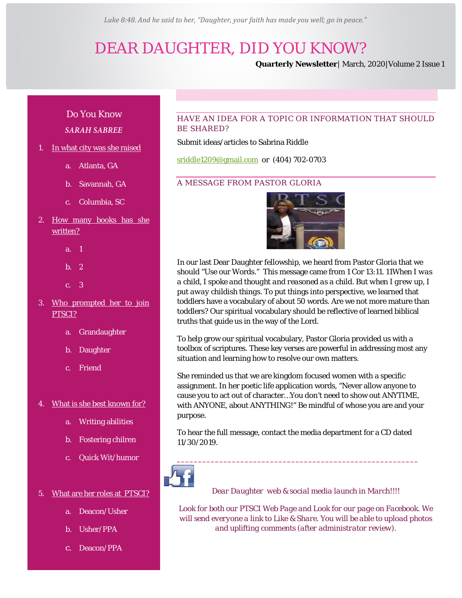*Luke 8:48. And he said to her, "Daughter, your faith has made you well; go in peace."*

# *DEAR DAUGHTER, DID YOU KNOW?*

**Quarterly Newsletter**| March, 2020|Volume 2 Issue 1

## Do You Know *SARAH SABREE*

- 1. In what city was she raised
	- a. Atlanta, GA
	- b. Savannah, GA
	- c. Columbia, SC
- 2. How many books has she written?
	- a. 1
	- b. 2
	- c. 3
- 3. Who prompted her to join PTSCI?
	- a. Grandaughter
	- b. Daughter
	- c. Friend
- 4. What is she best known for?
	- a. Writing abilities
	- b. Fostering chilren
	- c. Quick Wit/humor

### 5. What are her roles at PTSCI?

- a. Deacon/Usher
- b. Usher/PPA
- c. Deacon/PPA

## HAVE AN IDEA FOR A TOPIC OR INFORMATION THAT SHOULD BE SHARED?

#### Submit ideas/articles to Sabrina Riddle

[sriddle1209@gmail.com](mailto:sriddle1209@gmail.com) or (404) 702-0703

## A MESSAGE FROM PASTOR GLORIA



In our last Dear Daughter fellowship, we heard from Pastor Gloria that we should "Use our Words." This message came from 1 Cor 13:11. *11When I was a child, I spoke and thought and reasoned as a child. But when I grew up, I put away childish things*. To put things into perspective, we learned that toddlers have a vocabulary of about 50 words. Are we not more mature than toddlers? Our spiritual vocabulary should be reflective of learned biblical truths that guide us in the way of the Lord.

To help grow our spiritual vocabulary, Pastor Gloria provided us with a toolbox of scriptures. These key verses are powerful in addressing most any situation and learning how to resolve our own matters.

She reminded us that we are kingdom focused women with a specific assignment. In her poetic life application words, "Never allow anyone to cause you to act out of character…You don't need to show out ANYTIME, with ANYONE, about ANYTHING!" Be mindful of whose you are and your purpose.

To hear the full message, contact the media department for a CD dated 11/30/2019.



*Dear Daughter web & social media launch in March!!!!*

*Look for both our PTSCI Web Page and Look for our page on Facebook. We will send everyone a link to Like & Share. You will be able to upload photos and uplifting comments (after administrator review).*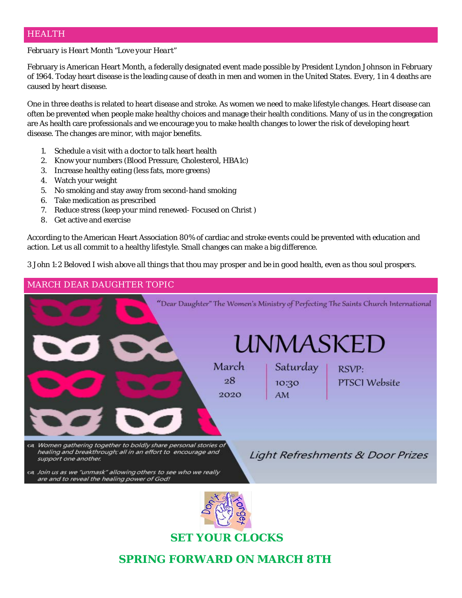## HEALTH

## *February is Heart Month "Love your Heart"*

February is American Heart Month, a federally designated event made possible by President Lyndon Johnson in February of 1964. Today heart disease is the leading cause of death in men and women in the United States. Every, 1 in 4 deaths are caused by heart disease.

One in three deaths is related to heart disease and stroke. As women we need to make lifestyle changes. Heart disease can often be prevented when people make healthy choices and manage their health conditions. Many of us in the congregation are As health care professionals and we encourage you to make health changes to lower the risk of developing heart disease. The changes are minor, with major benefits.

- 1. Schedule a visit with a doctor to talk heart health
- 2. Know your numbers (Blood Pressure, Cholesterol, HBA1c)
- 3. Increase healthy eating (less fats, more greens)
- 4. Watch your weight
- 5. No smoking and stay away from second-hand smoking
- 6. Take medication as prescribed
- 7. Reduce stress (keep your mind renewed- Focused on Christ )
- 8. Get active and exercise

According to the American Heart Association 80% of cardiac and stroke events could be prevented with education and action. Let us all commit to a healthy lifestyle. Small changes can make a big difference.

*3 John 1:2 Beloved I wish above all things that thou may prosper and be in good health, even as thou soul prospers*.



**SET YOUR CLOCKS**

## **SPRING FORWARD ON MARCH 8TH**